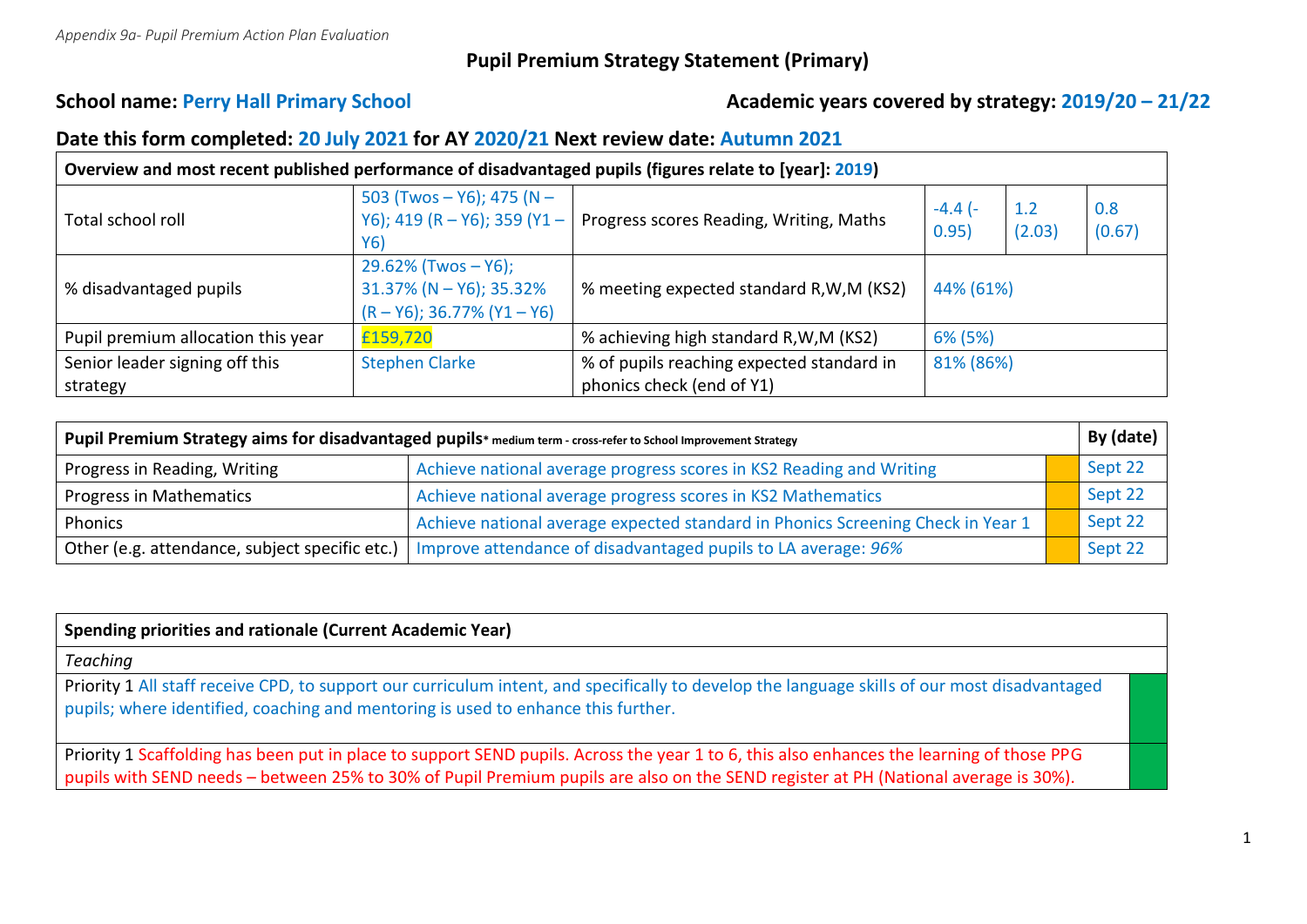# **Pupil Premium Strategy Statement (Primary)**

# School name: Perry Hall Primary School **Academic years covered by strategy:** 2019/20 – 21/22

### **Date this form completed: 20 July 2021 for AY 2020/21 Next review date: Autumn 2021**

| Overview and most recent published performance of disadvantaged pupils (figures relate to [year]: 2019) |                                                                                           |                                           |                    |               |               |  |  |
|---------------------------------------------------------------------------------------------------------|-------------------------------------------------------------------------------------------|-------------------------------------------|--------------------|---------------|---------------|--|--|
| Total school roll                                                                                       | 503 (Twos - Y6); 475 (N -<br>Y6); 419 (R - Y6); 359 (Y1 -<br>Y6)                          | Progress scores Reading, Writing, Maths   | $-4.4$ (-<br>0.95) | 1.2<br>(2.03) | 0.8<br>(0.67) |  |  |
| % disadvantaged pupils                                                                                  | $29.62\%$ (Twos $-$ Y6);<br>$31.37\%$ (N – Y6); 35.32%<br>$(R - Y6)$ ; 36.77% $(Y1 - Y6)$ | % meeting expected standard R, W, M (KS2) | 44% (61%)          |               |               |  |  |
| Pupil premium allocation this year                                                                      | £159,720                                                                                  | % achieving high standard R, W, M (KS2)   | 6% (5%)            |               |               |  |  |
| Senior leader signing off this                                                                          | <b>Stephen Clarke</b>                                                                     | % of pupils reaching expected standard in | 81% (86%)          |               |               |  |  |
| strategy                                                                                                |                                                                                           | phonics check (end of Y1)                 |                    |               |               |  |  |

| Pupil Premium Strategy aims for disadvantaged pupils* medium term - cross-refer to School Improvement Strategy |                                                                                 |  | By (date) |
|----------------------------------------------------------------------------------------------------------------|---------------------------------------------------------------------------------|--|-----------|
| Progress in Reading, Writing                                                                                   | Achieve national average progress scores in KS2 Reading and Writing             |  | Sept 22   |
| Progress in Mathematics                                                                                        | Achieve national average progress scores in KS2 Mathematics                     |  | Sept 22   |
| Phonics                                                                                                        | Achieve national average expected standard in Phonics Screening Check in Year 1 |  | Sept 22   |
| Other (e.g. attendance, subject specific etc.)                                                                 | Improve attendance of disadvantaged pupils to LA average: 96%                   |  | Sept 22   |

| Spending priorities and rationale (Current Academic Year)                                                                                                                                                                                                                       |  |  |  |  |
|---------------------------------------------------------------------------------------------------------------------------------------------------------------------------------------------------------------------------------------------------------------------------------|--|--|--|--|
| <b>Teaching</b>                                                                                                                                                                                                                                                                 |  |  |  |  |
| Priority 1 All staff receive CPD, to support our curriculum intent, and specifically to develop the language skills of our most disadvantaged<br>pupils; where identified, coaching and mentoring is used to enhance this further.                                              |  |  |  |  |
| Priority 1 Scaffolding has been put in place to support SEND pupils. Across the year 1 to 6, this also enhances the learning of those PPG<br>pupils with SEND needs - between 25% to 30% of Pupil Premium pupils are also on the SEND register at PH (National average is 30%). |  |  |  |  |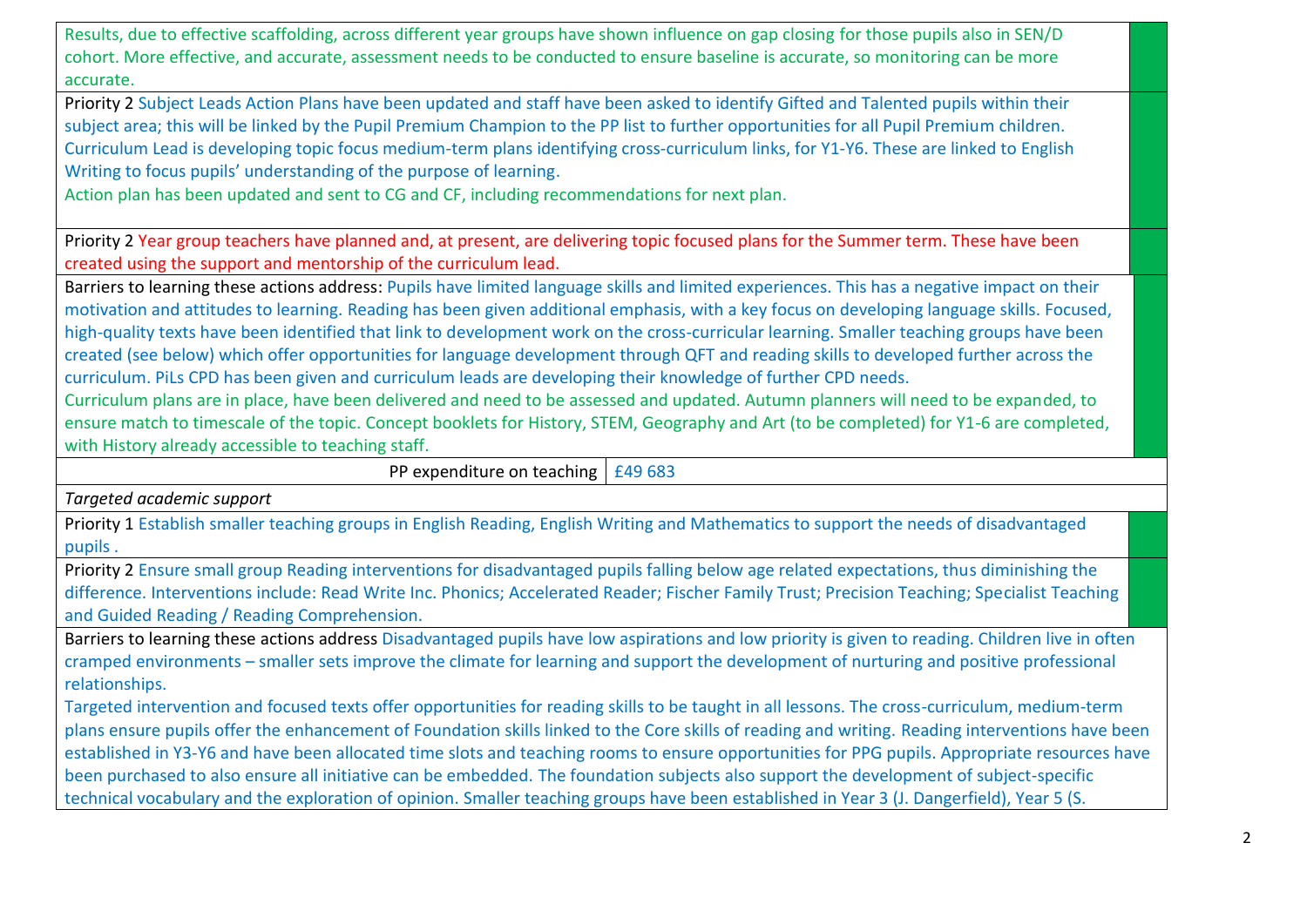Results, due to effective scaffolding, across different year groups have shown influence on gap closing for those pupils also in SEN/D cohort. More effective, and accurate, assessment needs to be conducted to ensure baseline is accurate, so monitoring can be more accurate.

Priority 2 Subject Leads Action Plans have been updated and staff have been asked to identify Gifted and Talented pupils within their subject area; this will be linked by the Pupil Premium Champion to the PP list to further opportunities for all Pupil Premium children. Curriculum Lead is developing topic focus medium-term plans identifying cross-curriculum links, for Y1-Y6. These are linked to English Writing to focus pupils' understanding of the purpose of learning.

Action plan has been updated and sent to CG and CF, including recommendations for next plan.

Priority 2 Year group teachers have planned and, at present, are delivering topic focused plans for the Summer term. These have been created using the support and mentorship of the curriculum lead.

Barriers to learning these actions address: Pupils have limited language skills and limited experiences. This has a negative impact on their motivation and attitudes to learning. Reading has been given additional emphasis, with a key focus on developing language skills. Focused, high-quality texts have been identified that link to development work on the cross-curricular learning. Smaller teaching groups have been created (see below) which offer opportunities for language development through QFT and reading skills to developed further across the curriculum. PiLs CPD has been given and curriculum leads are developing their knowledge of further CPD needs.

Curriculum plans are in place, have been delivered and need to be assessed and updated. Autumn planners will need to be expanded, to ensure match to timescale of the topic. Concept booklets for History, STEM, Geography and Art (to be completed) for Y1-6 are completed, with History already accessible to teaching staff.

PP expenditure on teaching  $\frac{1}{2}$  £49 683

*Targeted academic support*

Priority 1 Establish smaller teaching groups in English Reading, English Writing and Mathematics to support the needs of disadvantaged pupils .

Priority 2 Ensure small group Reading interventions for disadvantaged pupils falling below age related expectations, thus diminishing the difference. Interventions include: Read Write Inc. Phonics; Accelerated Reader; Fischer Family Trust; Precision Teaching; Specialist Teaching and Guided Reading / Reading Comprehension.

Barriers to learning these actions address Disadvantaged pupils have low aspirations and low priority is given to reading. Children live in often cramped environments – smaller sets improve the climate for learning and support the development of nurturing and positive professional relationships.

Targeted intervention and focused texts offer opportunities for reading skills to be taught in all lessons. The cross-curriculum, medium-term plans ensure pupils offer the enhancement of Foundation skills linked to the Core skills of reading and writing. Reading interventions have been established in Y3-Y6 and have been allocated time slots and teaching rooms to ensure opportunities for PPG pupils. Appropriate resources have been purchased to also ensure all initiative can be embedded. The foundation subjects also support the development of subject-specific technical vocabulary and the exploration of opinion. Smaller teaching groups have been established in Year 3 (J. Dangerfield), Year 5 (S.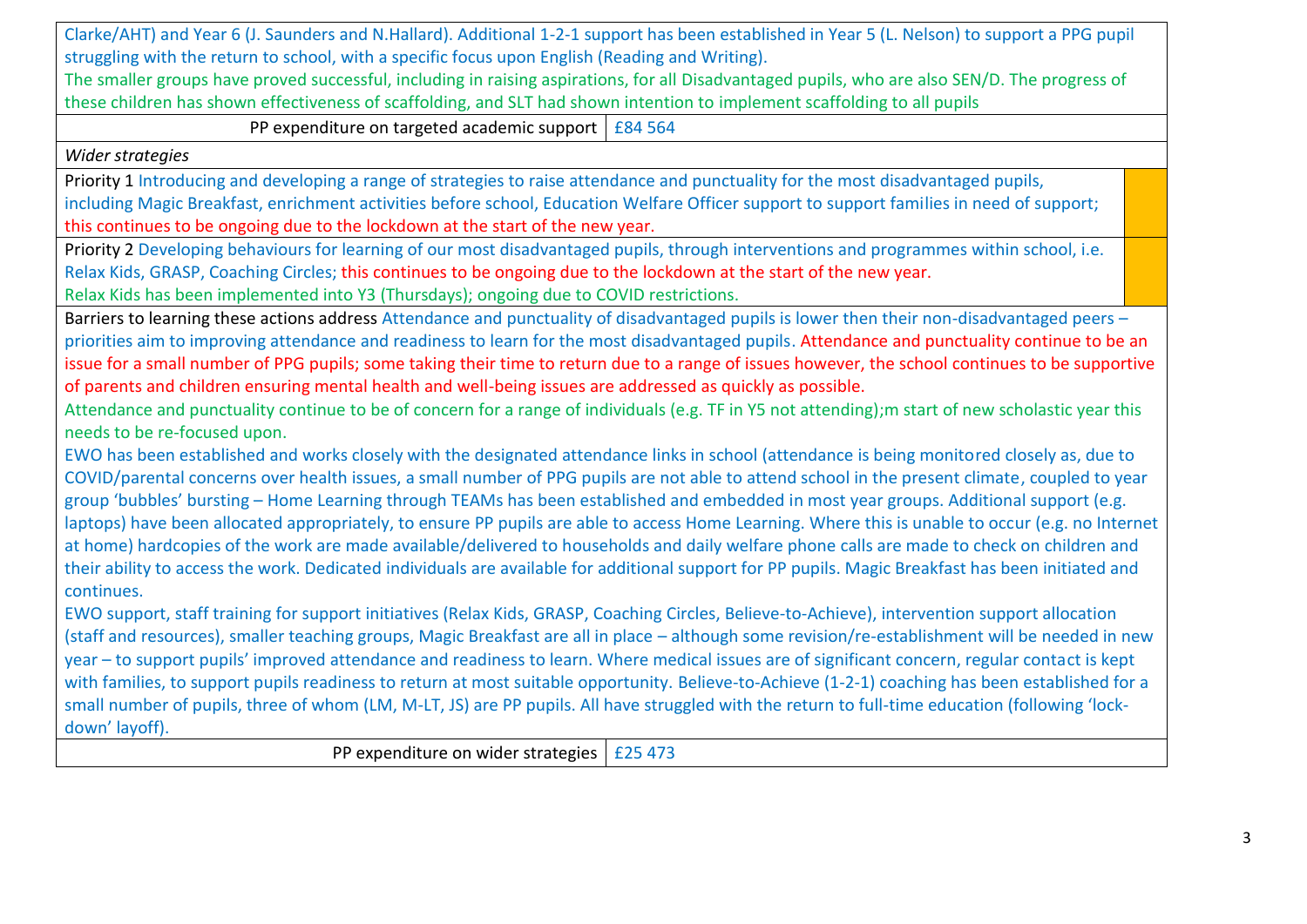Clarke/AHT) and Year 6 (J. Saunders and N.Hallard). Additional 1-2-1 support has been established in Year 5 (L. Nelson) to support a PPG pupil struggling with the return to school, with a specific focus upon English (Reading and Writing). The smaller groups have proved successful, including in raising aspirations, for all Disadvantaged pupils, who are also SEN/D. The progress of these children has shown effectiveness of scaffolding, and SLT had shown intention to implement scaffolding to all pupils PP expenditure on targeted academic support  $\frac{1}{684}$  564 *Wider strategies* Priority 1 Introducing and developing a range of strategies to raise attendance and punctuality for the most disadvantaged pupils, including Magic Breakfast, enrichment activities before school, Education Welfare Officer support to support families in need of support; this continues to be ongoing due to the lockdown at the start of the new year. Priority 2 Developing behaviours for learning of our most disadvantaged pupils, through interventions and programmes within school, i.e. Relax Kids, GRASP, Coaching Circles; this continues to be ongoing due to the lockdown at the start of the new year. Relax Kids has been implemented into Y3 (Thursdays); ongoing due to COVID restrictions. Barriers to learning these actions address Attendance and punctuality of disadvantaged pupils is lower then their non-disadvantaged peers – priorities aim to improving attendance and readiness to learn for the most disadvantaged pupils. Attendance and punctuality continue to be an issue for a small number of PPG pupils; some taking their time to return due to a range of issues however, the school continues to be supportive of parents and children ensuring mental health and well-being issues are addressed as quickly as possible. Attendance and punctuality continue to be of concern for a range of individuals (e.g. TF in Y5 not attending);m start of new scholastic year this needs to be re-focused upon. EWO has been established and works closely with the designated attendance links in school (attendance is being monitored closely as, due to COVID/parental concerns over health issues, a small number of PPG pupils are not able to attend school in the present climate, coupled to year group 'bubbles' bursting – Home Learning through TEAMs has been established and embedded in most year groups. Additional support (e.g. laptops) have been allocated appropriately, to ensure PP pupils are able to access Home Learning. Where this is unable to occur (e.g. no Internet at home) hardcopies of the work are made available/delivered to households and daily welfare phone calls are made to check on children and their ability to access the work. Dedicated individuals are available for additional support for PP pupils. Magic Breakfast has been initiated and continues. EWO support, staff training for support initiatives (Relax Kids, GRASP, Coaching Circles, Believe-to-Achieve), intervention support allocation (staff and resources), smaller teaching groups, Magic Breakfast are all in place – although some revision/re-establishment will be needed in new year – to support pupils' improved attendance and readiness to learn. Where medical issues are of significant concern, regular contact is kept with families, to support pupils readiness to return at most suitable opportunity. Believe-to-Achieve (1-2-1) coaching has been established for a small number of pupils, three of whom (LM, M-LT, JS) are PP pupils. All have struggled with the return to full-time education (following 'lockdown' layoff). PP expenditure on wider strategies  $\left| \right.$  £25 473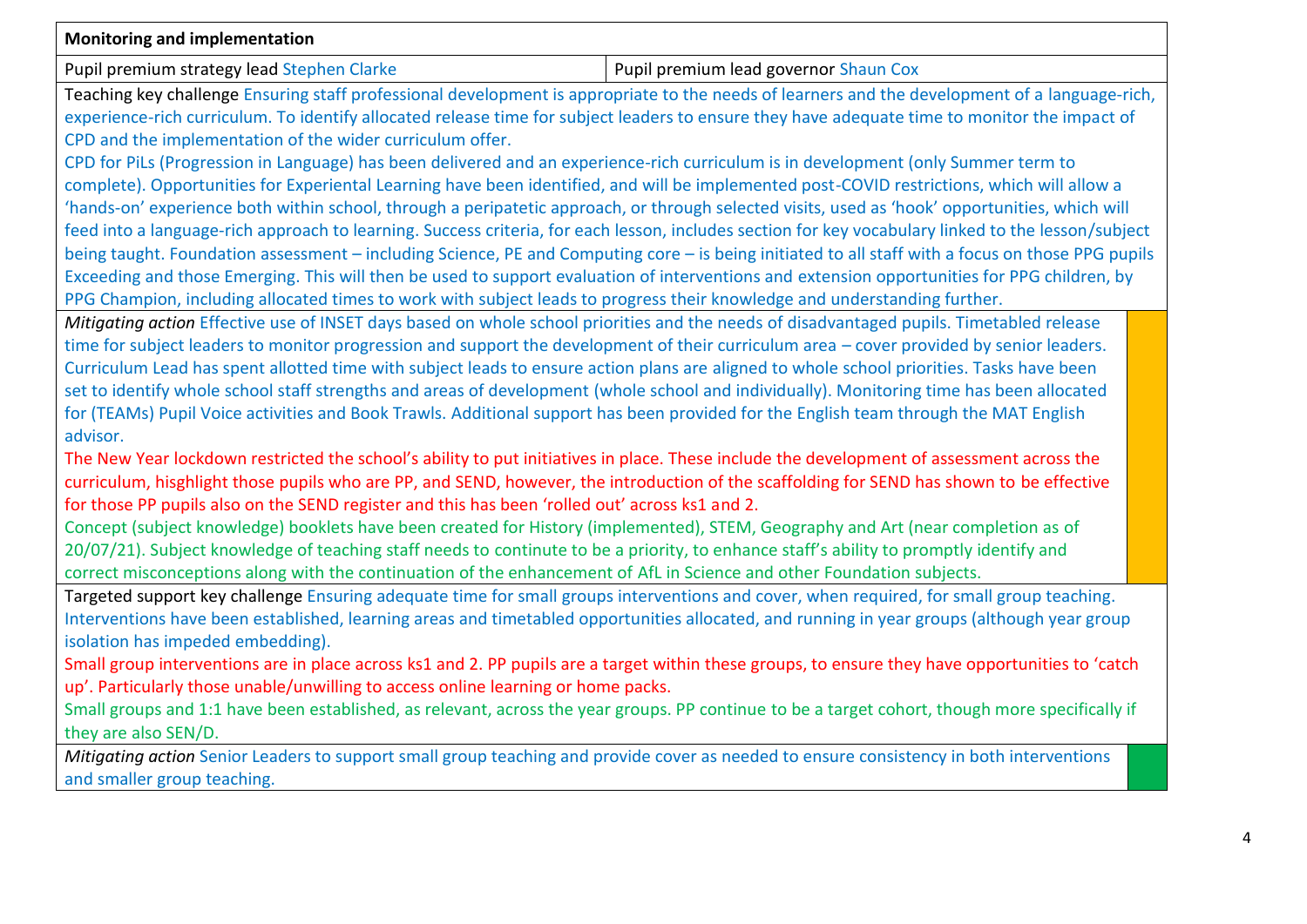| Monitoring and implementation                                                                                                                       |                                       |  |  |  |  |
|-----------------------------------------------------------------------------------------------------------------------------------------------------|---------------------------------------|--|--|--|--|
| Pupil premium strategy lead Stephen Clarke                                                                                                          | Pupil premium lead governor Shaun Cox |  |  |  |  |
| Teaching key challenge Ensuring staff professional development is appropriate to the needs of learners and the development of a language-rich,      |                                       |  |  |  |  |
| experience-rich curriculum. To identify allocated release time for subject leaders to ensure they have adequate time to monitor the impact of       |                                       |  |  |  |  |
| CPD and the implementation of the wider curriculum offer.                                                                                           |                                       |  |  |  |  |
| CPD for PiLs (Progression in Language) has been delivered and an experience-rich curriculum is in development (only Summer term to                  |                                       |  |  |  |  |
| complete). Opportunities for Experiental Learning have been identified, and will be implemented post-COVID restrictions, which will allow a         |                                       |  |  |  |  |
| 'hands-on' experience both within school, through a peripatetic approach, or through selected visits, used as 'hook' opportunities, which will      |                                       |  |  |  |  |
| feed into a language-rich approach to learning. Success criteria, for each lesson, includes section for key vocabulary linked to the lesson/subject |                                       |  |  |  |  |
| being taught. Foundation assessment - including Science, PE and Computing core - is being initiated to all staff with a focus on those PPG pupils   |                                       |  |  |  |  |
| Exceeding and those Emerging. This will then be used to support evaluation of interventions and extension opportunities for PPG children, by        |                                       |  |  |  |  |
| PPG Champion, including allocated times to work with subject leads to progress their knowledge and understanding further.                           |                                       |  |  |  |  |
| Mitigating action Effective use of INSET days based on whole school priorities and the needs of disadvantaged pupils. Timetabled release            |                                       |  |  |  |  |
| time for subject leaders to monitor progression and support the development of their curriculum area - cover provided by senior leaders.            |                                       |  |  |  |  |
| Curriculum Lead has spent allotted time with subject leads to ensure action plans are aligned to whole school priorities. Tasks have been           |                                       |  |  |  |  |
| set to identify whole school staff strengths and areas of development (whole school and individually). Monitoring time has been allocated           |                                       |  |  |  |  |
| for (TEAMs) Pupil Voice activities and Book Trawls. Additional support has been provided for the English team through the MAT English               |                                       |  |  |  |  |
| advisor.                                                                                                                                            |                                       |  |  |  |  |
| The New Year lockdown restricted the school's ability to put initiatives in place. These include the development of assessment across the           |                                       |  |  |  |  |
| curriculum, hisghlight those pupils who are PP, and SEND, however, the introduction of the scaffolding for SEND has shown to be effective           |                                       |  |  |  |  |
| for those PP pupils also on the SEND register and this has been 'rolled out' across ks1 and 2.                                                      |                                       |  |  |  |  |
| Concept (subject knowledge) booklets have been created for History (implemented), STEM, Geography and Art (near completion as of                    |                                       |  |  |  |  |
| 20/07/21). Subject knowledge of teaching staff needs to continute to be a priority, to enhance staff's ability to promptly identify and             |                                       |  |  |  |  |
| correct misconceptions along with the continuation of the enhancement of AfL in Science and other Foundation subjects.                              |                                       |  |  |  |  |
| Targeted support key challenge Ensuring adequate time for small groups interventions and cover, when required, for small group teaching.            |                                       |  |  |  |  |
| Interventions have been established, learning areas and timetabled opportunities allocated, and running in year groups (although year group         |                                       |  |  |  |  |
| isolation has impeded embedding).                                                                                                                   |                                       |  |  |  |  |
| Small group interventions are in place across ks1 and 2. PP pupils are a target within these groups, to ensure they have opportunities to 'catch    |                                       |  |  |  |  |
| up'. Particularly those unable/unwilling to access online learning or home packs.                                                                   |                                       |  |  |  |  |
| Small groups and 1:1 have been established, as relevant, across the year groups. PP continue to be a target cohort, though more specifically if     |                                       |  |  |  |  |
| they are also SEN/D.                                                                                                                                |                                       |  |  |  |  |
| Mitigating action Senior Leaders to support small group teaching and provide cover as needed to ensure consistency in both interventions            |                                       |  |  |  |  |
| and smaller group teaching.                                                                                                                         |                                       |  |  |  |  |